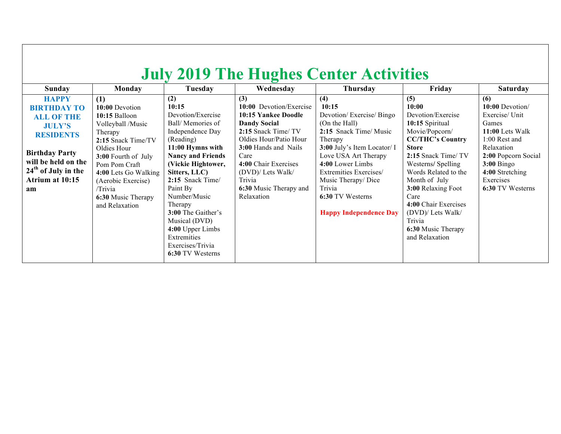| <b>July 2019 The Hughes Center Activities</b>                                                                                                                                                  |                                                                                                                                                                                                                                                      |                                                                                                                                                                                                                                                                                                                                                            |                                                                                                                                                                                                                                                             |                                                                                                                                                                                                                                                                                         |                                                                                                                                                                                                                                                                                                                                    |                                                                                                                                                                                                 |  |  |
|------------------------------------------------------------------------------------------------------------------------------------------------------------------------------------------------|------------------------------------------------------------------------------------------------------------------------------------------------------------------------------------------------------------------------------------------------------|------------------------------------------------------------------------------------------------------------------------------------------------------------------------------------------------------------------------------------------------------------------------------------------------------------------------------------------------------------|-------------------------------------------------------------------------------------------------------------------------------------------------------------------------------------------------------------------------------------------------------------|-----------------------------------------------------------------------------------------------------------------------------------------------------------------------------------------------------------------------------------------------------------------------------------------|------------------------------------------------------------------------------------------------------------------------------------------------------------------------------------------------------------------------------------------------------------------------------------------------------------------------------------|-------------------------------------------------------------------------------------------------------------------------------------------------------------------------------------------------|--|--|
| <b>Sunday</b>                                                                                                                                                                                  | Monday                                                                                                                                                                                                                                               | Tuesday                                                                                                                                                                                                                                                                                                                                                    | Wednesday                                                                                                                                                                                                                                                   | <b>Thursday</b>                                                                                                                                                                                                                                                                         | Friday                                                                                                                                                                                                                                                                                                                             | <b>Saturday</b>                                                                                                                                                                                 |  |  |
| <b>HAPPY</b><br><b>BIRTHDAY TO</b><br><b>ALL OF THE</b><br><b>JULY'S</b><br><b>RESIDENTS</b><br><b>Birthday Party</b><br>will be held on the<br>$24th$ of July in the<br>Atrium at 10:15<br>am | (1)<br>10:00 Devotion<br>10:15 Balloon<br>Volleyball /Music<br>Therapy<br>2:15 Snack Time/TV<br>Oldies Hour<br>3:00 Fourth of July<br>Pom Pom Craft<br>4:00 Lets Go Walking<br>(Aerobic Exercise)<br>/Trivia<br>6:30 Music Therapy<br>and Relaxation | (2)<br>10:15<br>Devotion/Exercise<br>Ball/Memories of<br>Independence Day<br>(Reading)<br>11:00 Hymns with<br><b>Nancy and Friends</b><br>(Vickie Hightower,<br>Sitters, LLC)<br>2:15 Snack Time/<br>Paint By<br>Number/Music<br>Therapy<br>3:00 The Gaither's<br>Musical (DVD)<br>4:00 Upper Limbs<br>Extremities<br>Exercises/Trivia<br>6:30 TV Westerns | (3)<br>10:00 Devotion/Exercise<br>10:15 Yankee Doodle<br><b>Dandy Social</b><br>2:15 Snack Time/TV<br>Oldies Hour/Patio Hour<br>3:00 Hands and Nails<br>Care<br>4:00 Chair Exercises<br>(DVD)/ Lets Walk/<br>Trivia<br>6:30 Music Therapy and<br>Relaxation | (4)<br>10:15<br>Devotion/Exercise/Bingo<br>(On the Hall)<br>2:15 Snack Time/ Music<br>Therapy<br>3:00 July's Item Locator/ I<br>Love USA Art Therapy<br>4:00 Lower Limbs<br>Extremities Exercises/<br>Music Therapy/Dice<br>Trivia<br>6:30 TV Westerns<br><b>Happy Independence Day</b> | (5)<br>10:00<br>Devotion/Exercise<br>10:15 Spiritual<br>Movie/Popcorn/<br><b>CC/THC's Country</b><br><b>Store</b><br>2:15 Snack Time/TV<br>Westerns/Spelling<br>Words Related to the<br>Month of July<br>3:00 Relaxing Foot<br>Care<br>4:00 Chair Exercises<br>(DVD)/ Lets Walk/<br>Trivia<br>6:30 Music Therapy<br>and Relaxation | (6)<br>$10:00$ Devotion<br>Exercise/ Unit<br>Games<br>11:00 Lets Walk<br>1:00 Rest and<br>Relaxation<br>2:00 Popcorn Social<br>$3:00$ Bingo<br>4:00 Stretching<br>Exercises<br>6:30 TV Westerns |  |  |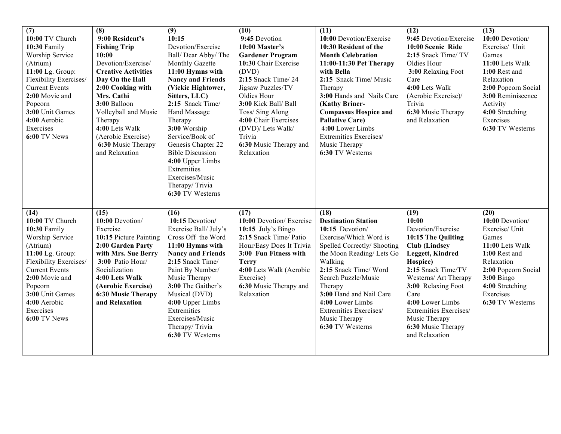| (7)<br>10:00 TV Church<br>10:30 Family<br>Worship Service<br>(Atrium)<br>11:00 Lg. Group:<br>Flexibility Exercises/<br><b>Current Events</b><br>2:00 Movie and<br>Popcorn<br>3:00 Unit Games<br>4:00 Aerobic<br>Exercises<br>6:00 TV News  | (8)<br>9:00 Resident's<br><b>Fishing Trip</b><br>10:00<br>Devotion/Exercise/<br><b>Creative Activities</b><br>Day On the Hall<br>2:00 Cooking with<br>Mrs. Cathi<br>3:00 Balloon<br>Volleyball and Music<br>Therapy<br>4:00 Lets Walk<br>(Aerobic Exercise)<br>6:30 Music Therapy<br>and Relaxation | (9)<br>10:15<br>Devotion/Exercise<br>Ball/Dear Abby/The<br>Monthly Gazette<br>11:00 Hymns with<br><b>Nancy and Friends</b><br>(Vickie Hightower,<br>Sitters, LLC)<br>2:15 Snack Time/<br>Hand Massage<br>Therapy<br>3:00 Worship<br>Service/Book of<br>Genesis Chapter 22<br><b>Bible Discussion</b><br>4:00 Upper Limbs<br>Extremities<br>Exercises/Music<br>Therapy/Trivia<br>6:30 TV Westerns | (10)<br>9:45 Devotion<br>10:00 Master's<br><b>Gardener Program</b><br>10:30 Chair Exercise<br>(DVD)<br>2:15 Snack Time/24<br>Jigsaw Puzzles/TV<br>Oldies Hour<br>3:00 Kick Ball/ Ball<br>Toss/ Sing Along<br>4:00 Chair Exercises<br>(DVD)/ Lets Walk/<br>Trivia<br>6:30 Music Therapy and<br>Relaxation | (11)<br>10:00 Devotion/Exercise<br>10:30 Resident of the<br><b>Month Celebration</b><br>11:00-11:30 Pet Therapy<br>with Bella<br>2:15 Snack Time/ Music<br>Therapy<br>3:00 Hands and Nails Care<br>(Kathy Briner-<br><b>Compassus Hospice and</b><br><b>Pallative Care)</b><br>4:00 Lower Limbs<br>Extremities Exercises/<br>Music Therapy<br>6:30 TV Westerns | (12)<br>9:45 Devotion/Exercise<br>10:00 Scenic Ride<br>2:15 Snack Time/ TV<br>Oldies Hour<br>3:00 Relaxing Foot<br>Care<br>4:00 Lets Walk<br>(Aerobic Exercise)/<br>Trivia<br>6:30 Music Therapy<br>and Relaxation                                                                                          | (13)<br>10:00 Devotion/<br>Exercise/ Unit<br>Games<br>11:00 Lets Walk<br>1:00 Rest and<br>Relaxation<br>2:00 Popcorn Social<br>3:00 Reminiscence<br>Activity<br>4:00 Stretching<br>Exercises<br>6:30 TV Westerns |
|--------------------------------------------------------------------------------------------------------------------------------------------------------------------------------------------------------------------------------------------|-----------------------------------------------------------------------------------------------------------------------------------------------------------------------------------------------------------------------------------------------------------------------------------------------------|--------------------------------------------------------------------------------------------------------------------------------------------------------------------------------------------------------------------------------------------------------------------------------------------------------------------------------------------------------------------------------------------------|----------------------------------------------------------------------------------------------------------------------------------------------------------------------------------------------------------------------------------------------------------------------------------------------------------|----------------------------------------------------------------------------------------------------------------------------------------------------------------------------------------------------------------------------------------------------------------------------------------------------------------------------------------------------------------|-------------------------------------------------------------------------------------------------------------------------------------------------------------------------------------------------------------------------------------------------------------------------------------------------------------|------------------------------------------------------------------------------------------------------------------------------------------------------------------------------------------------------------------|
| (14)<br>10:00 TV Church<br>10:30 Family<br>Worship Service<br>(Atrium)<br>11:00 Lg. Group:<br>Flexibility Exercises/<br><b>Current Events</b><br>2:00 Movie and<br>Popcorn<br>3:00 Unit Games<br>4:00 Aerobic<br>Exercises<br>6:00 TV News | (15)<br>10:00 Devotion/<br>Exercise<br>10:15 Picture Painting<br>2:00 Garden Party<br>with Mrs. Sue Berry<br>3:00 Patio Hour/<br>Socialization<br>4:00 Lets Walk<br>(Aerobic Exercise)<br><b>6:30 Music Therapy</b><br>and Relaxation                                                               | (16)<br>10:15 Devotion/<br>Exercise Ball/July's<br>Cross Off the Word<br>11:00 Hymns with<br><b>Nancy and Friends</b><br>2:15 Snack Time/<br>Paint By Number/<br>Music Therapy<br>3:00 The Gaither's<br>Musical (DVD)<br>4:00 Upper Limbs<br>Extremities<br>Exercises/Music<br>Therapy/Trivia<br>6:30 TV Westerns                                                                                | (17)<br>10:00 Devotion/Exercise<br>$10:15$ July's Bingo<br>2:15 Snack Time/ Patio<br>Hour/Easy Does It Trivia<br>3:00 Fun Fitness with<br><b>Terry</b><br>4:00 Lets Walk (Aerobic<br>Exercise)<br>6:30 Music Therapy and<br>Relaxation                                                                   | (18)<br><b>Destination Station</b><br>10:15 Devotion/<br>Exercise/Which Word is<br>Spelled Correctly/ Shooting<br>the Moon Reading/ Lets Go<br>Walking<br>2:15 Snack Time/ Word<br>Search Puzzle/Music<br>Therapy<br>3:00 Hand and Nail Care<br>4:00 Lower Limbs<br>Extremities Exercises/<br>Music Therapy<br>6:30 TV Westerns                                | (19)<br>10:00<br>Devotion/Exercise<br>10:15 The Quilting<br><b>Club</b> (Lindsey<br><b>Leggett, Kindred</b><br>Hospice)<br>2:15 Snack Time/TV<br>Westerns/ Art Therapy<br>3:00 Relaxing Foot<br>Care<br>4:00 Lower Limbs<br>Extremities Exercises/<br>Music Therapy<br>6:30 Music Therapy<br>and Relaxation | (20)<br>10:00 Devotion/<br>Exercise/ Unit<br>Games<br>11:00 Lets Walk<br>1:00 Rest and<br>Relaxation<br>2:00 Popcorn Social<br>$3:00$ Bingo<br>4:00 Stretching<br>Exercises<br>6:30 TV Westerns                  |